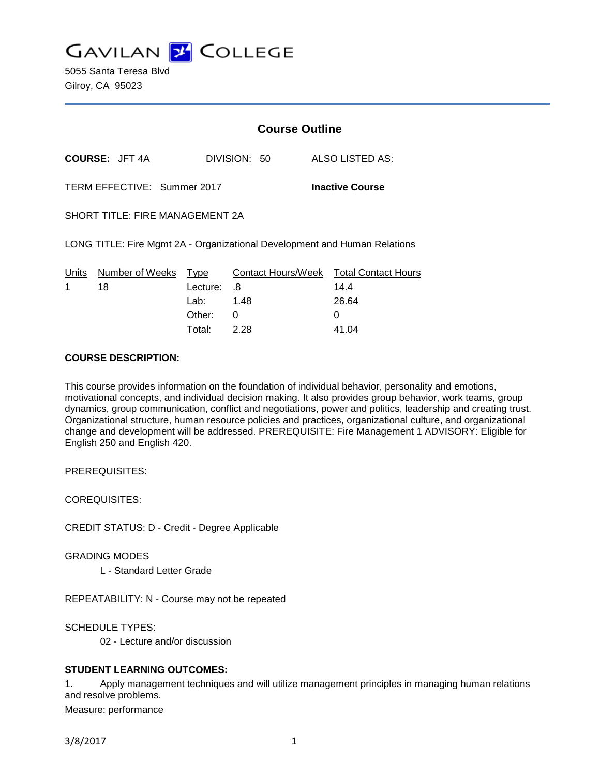

|                                                                           | <b>Course Outline</b> |                    |  |                            |
|---------------------------------------------------------------------------|-----------------------|--------------------|--|----------------------------|
| COURSE: JFT 4A                                                            |                       | DIVISION: 50       |  | <b>ALSO LISTED AS:</b>     |
| TERM EFFECTIVE: Summer 2017                                               |                       |                    |  | <b>Inactive Course</b>     |
| SHORT TITLE: FIRE MANAGEMENT 2A                                           |                       |                    |  |                            |
| LONG TITLE: Fire Mgmt 2A - Organizational Development and Human Relations |                       |                    |  |                            |
| Units<br>Number of Weeks                                                  | Type                  | Contact Hours/Week |  | <b>Total Contact Hours</b> |
| 1<br>18                                                                   | Lecture:              | .8                 |  | 14.4                       |
|                                                                           | Lab:                  | 1.48               |  | 26.64                      |
|                                                                           | Other:                | 0                  |  | O                          |

# **COURSE DESCRIPTION:**

This course provides information on the foundation of individual behavior, personality and emotions, motivational concepts, and individual decision making. It also provides group behavior, work teams, group dynamics, group communication, conflict and negotiations, power and politics, leadership and creating trust. Organizational structure, human resource policies and practices, organizational culture, and organizational change and development will be addressed. PREREQUISITE: Fire Management 1 ADVISORY: Eligible for English 250 and English 420.

Total: 2.28 41.04

PREREQUISITES:

COREQUISITES:

CREDIT STATUS: D - Credit - Degree Applicable

GRADING MODES

L - Standard Letter Grade

REPEATABILITY: N - Course may not be repeated

SCHEDULE TYPES:

02 - Lecture and/or discussion

# **STUDENT LEARNING OUTCOMES:**

1. Apply management techniques and will utilize management principles in managing human relations and resolve problems.

Measure: performance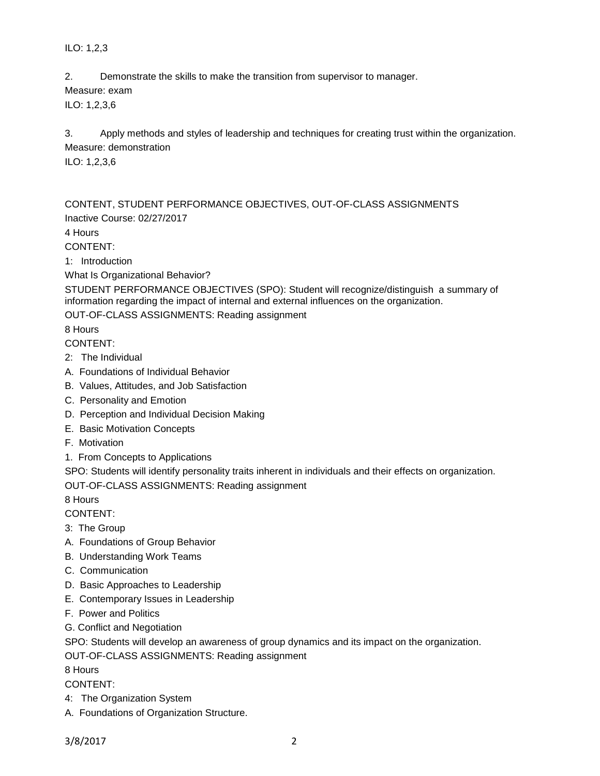ILO: 1,2,3

2. Demonstrate the skills to make the transition from supervisor to manager.

Measure: exam

ILO: 1,2,3,6

3. Apply methods and styles of leadership and techniques for creating trust within the organization. Measure: demonstration

ILO: 1,2,3,6

CONTENT, STUDENT PERFORMANCE OBJECTIVES, OUT-OF-CLASS ASSIGNMENTS Inactive Course: 02/27/2017

4 Hours

CONTENT:

1: Introduction

What Is Organizational Behavior?

STUDENT PERFORMANCE OBJECTIVES (SPO): Student will recognize/distinguish a summary of information regarding the impact of internal and external influences on the organization.

OUT-OF-CLASS ASSIGNMENTS: Reading assignment

8 Hours

CONTENT:

- 2: The Individual
- A. Foundations of Individual Behavior
- B. Values, Attitudes, and Job Satisfaction
- C. Personality and Emotion
- D. Perception and Individual Decision Making
- E. Basic Motivation Concepts
- F. Motivation
- 1. From Concepts to Applications

SPO: Students will identify personality traits inherent in individuals and their effects on organization.

OUT-OF-CLASS ASSIGNMENTS: Reading assignment

8 Hours

CONTENT:

- 3: The Group
- A. Foundations of Group Behavior
- B. Understanding Work Teams
- C. Communication
- D. Basic Approaches to Leadership
- E. Contemporary Issues in Leadership
- F. Power and Politics
- G. Conflict and Negotiation

SPO: Students will develop an awareness of group dynamics and its impact on the organization.

OUT-OF-CLASS ASSIGNMENTS: Reading assignment

8 Hours

CONTENT:

- 4: The Organization System
- A. Foundations of Organization Structure.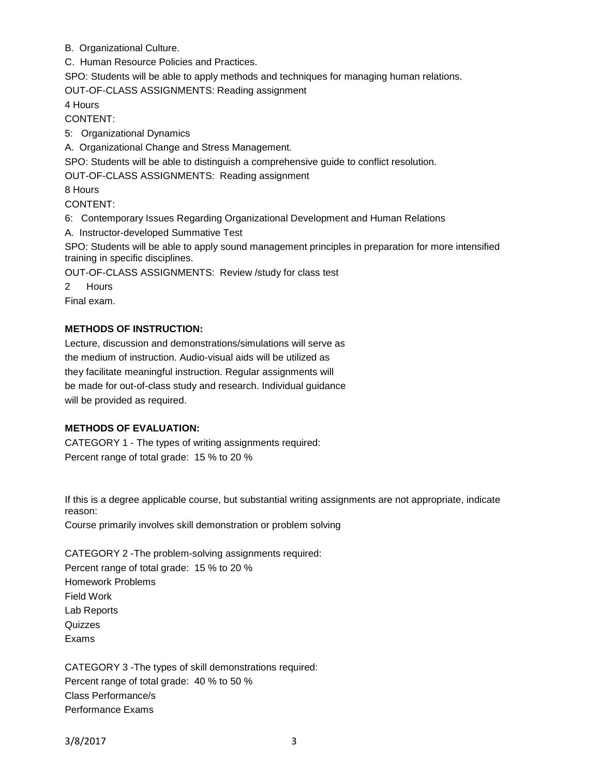B. Organizational Culture.

C. Human Resource Policies and Practices.

SPO: Students will be able to apply methods and techniques for managing human relations.

OUT-OF-CLASS ASSIGNMENTS: Reading assignment

4 Hours

CONTENT:

5: Organizational Dynamics

A. Organizational Change and Stress Management.

SPO: Students will be able to distinguish a comprehensive guide to conflict resolution.

OUT-OF-CLASS ASSIGNMENTS: Reading assignment

8 Hours

CONTENT:

6: Contemporary Issues Regarding Organizational Development and Human Relations

A. Instructor-developed Summative Test

SPO: Students will be able to apply sound management principles in preparation for more intensified training in specific disciplines.

OUT-OF-CLASS ASSIGNMENTS: Review /study for class test

2 Hours

Final exam.

# **METHODS OF INSTRUCTION:**

Lecture, discussion and demonstrations/simulations will serve as the medium of instruction. Audio-visual aids will be utilized as they facilitate meaningful instruction. Regular assignments will be made for out-of-class study and research. Individual guidance will be provided as required.

# **METHODS OF EVALUATION:**

CATEGORY 1 - The types of writing assignments required: Percent range of total grade: 15 % to 20 %

If this is a degree applicable course, but substantial writing assignments are not appropriate, indicate reason:

Course primarily involves skill demonstration or problem solving

CATEGORY 2 -The problem-solving assignments required: Percent range of total grade: 15 % to 20 % Homework Problems Field Work Lab Reports Quizzes Exams

CATEGORY 3 -The types of skill demonstrations required: Percent range of total grade: 40 % to 50 % Class Performance/s Performance Exams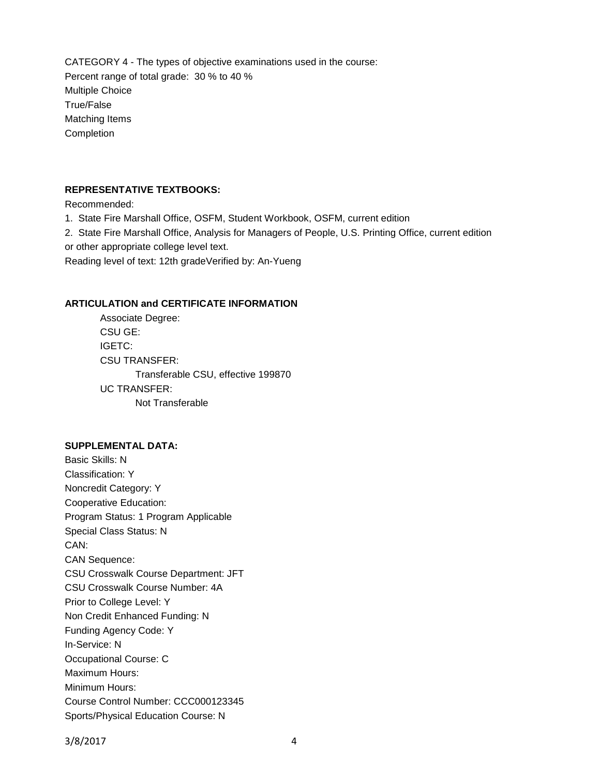CATEGORY 4 - The types of objective examinations used in the course: Percent range of total grade: 30 % to 40 % Multiple Choice True/False Matching Items Completion

## **REPRESENTATIVE TEXTBOOKS:**

Recommended:

1. State Fire Marshall Office, OSFM, Student Workbook, OSFM, current edition

2. State Fire Marshall Office, Analysis for Managers of People, U.S. Printing Office, current edition or other appropriate college level text.

Reading level of text: 12th gradeVerified by: An-Yueng

## **ARTICULATION and CERTIFICATE INFORMATION**

Associate Degree: CSU GE: IGETC: CSU TRANSFER: Transferable CSU, effective 199870 UC TRANSFER: Not Transferable

#### **SUPPLEMENTAL DATA:**

Basic Skills: N Classification: Y Noncredit Category: Y Cooperative Education: Program Status: 1 Program Applicable Special Class Status: N CAN: CAN Sequence: CSU Crosswalk Course Department: JFT CSU Crosswalk Course Number: 4A Prior to College Level: Y Non Credit Enhanced Funding: N Funding Agency Code: Y In-Service: N Occupational Course: C Maximum Hours: Minimum Hours: Course Control Number: CCC000123345 Sports/Physical Education Course: N

3/8/2017 4